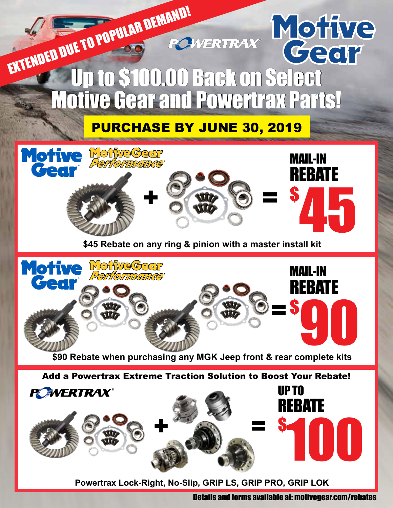

**Powertrax Lock-Right, No-Slip, GRIP LS, GRIP PRO, GRIP LOK**

Details and forms available at: motivegear.com/rebates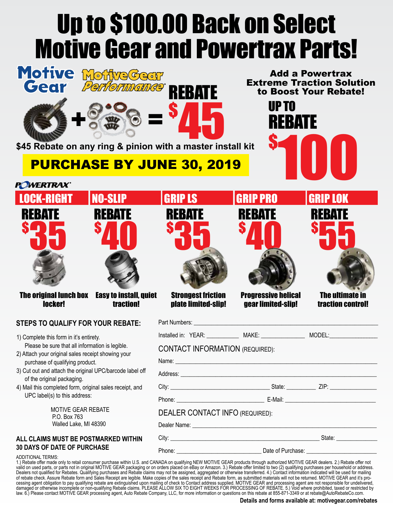# Up to \$100.00 Back on Select Motive Gear and Powertrax Parts!

| Motive MoffyeGeer<br>Performunce<br>Gear<br>\$45 Rebate on any ring & pinion with a master install kit                                                                                                                                                                                                                                      | <b>REBATE</b>                                                                                                                                                                                                                                                           | UP TO<br><b>REBATE</b>                                            | <b>Add a Powertrax</b><br><b>Extreme Traction Solution</b><br>to Boost Your Rebate! |  |
|---------------------------------------------------------------------------------------------------------------------------------------------------------------------------------------------------------------------------------------------------------------------------------------------------------------------------------------------|-------------------------------------------------------------------------------------------------------------------------------------------------------------------------------------------------------------------------------------------------------------------------|-------------------------------------------------------------------|-------------------------------------------------------------------------------------|--|
| <b>PURCHASE BY JUNE 30, 2019</b>                                                                                                                                                                                                                                                                                                            |                                                                                                                                                                                                                                                                         |                                                                   |                                                                                     |  |
| <b>POWERTRAX®</b>                                                                                                                                                                                                                                                                                                                           |                                                                                                                                                                                                                                                                         |                                                                   |                                                                                     |  |
| <b>NO-SLIP</b><br><b>LOCK-RIGHT</b>                                                                                                                                                                                                                                                                                                         | <b>GRIP LS</b>                                                                                                                                                                                                                                                          | <b>GRIP PRO</b>                                                   | <b>GRIP LOK</b>                                                                     |  |
| REBATE<br><b>REBATE</b><br><b>The original lunch box</b><br><b>Easy to install, quiet</b><br>locker!<br>traction!<br><b>STEPS TO QUALIFY FOR YOUR REBATE:</b>                                                                                                                                                                               | <b>REBATE</b><br><b>Strongest friction</b><br>plate limited-slip!<br>Part Numbers: __                                                                                                                                                                                   | <b>REBATE</b><br><b>Progressive helical</b><br>gear limited-slip! | <b>REBATE</b><br><b>The ultimate in</b><br><b>traction control!</b>                 |  |
| 1) Complete this form in it's entirety.                                                                                                                                                                                                                                                                                                     | Installed in: YEAR: ______________ MAKE: __________________ MODEL:__                                                                                                                                                                                                    |                                                                   |                                                                                     |  |
| Please be sure that all information is legible.<br>2) Attach your original sales receipt showing your<br>purchase of qualifying product.                                                                                                                                                                                                    | <b>CONTACT INFORMATION (REQUIRED):</b><br>Name: Name: Name: Name: Name: Name: Name: Name: Name: Name: Name: Name: Name: Name: Name: Name: Name: Name: Name: Name: Name: Name: Name: Name: Name: Name: Name: Name: Name: Name: Name: Name: Name: Name: Name: Name: Name: |                                                                   |                                                                                     |  |
| 3) Cut out and attach the original UPC/barcode label off<br>of the original packaging.                                                                                                                                                                                                                                                      |                                                                                                                                                                                                                                                                         |                                                                   |                                                                                     |  |
| 4) Mail this completed form, original sales receipt, and<br>UPC label(s) to this address:                                                                                                                                                                                                                                                   |                                                                                                                                                                                                                                                                         |                                                                   |                                                                                     |  |
|                                                                                                                                                                                                                                                                                                                                             |                                                                                                                                                                                                                                                                         |                                                                   |                                                                                     |  |
| <b>MOTIVE GEAR REBATE</b><br>P.O. Box 763                                                                                                                                                                                                                                                                                                   | <b>DEALER CONTACT INFO (REQUIRED):</b>                                                                                                                                                                                                                                  |                                                                   |                                                                                     |  |
| Walled Lake, MI 48390                                                                                                                                                                                                                                                                                                                       |                                                                                                                                                                                                                                                                         |                                                                   |                                                                                     |  |
| ALL CLAIMS MUST BE POSTMARKED WITHIN<br><b>30 DAYS OF DATE OF PURCHASE</b><br><b>ADDITIONAL TERMS:</b><br>1.) Rebate offer made only to retail consumer purchase within U.S. and CANADA on qualifying NEW MOTIVE GEAR products through authorized MOTIVE GEAR dealers. 2.) Rebate offer not<br>valid on used parts or parts not in original |                                                                                                                                                                                                                                                                         |                                                                   |                                                                                     |  |

valid on used parts, or parts not in original MOTIVE GEAR packaging or on orders placed on eBay or Amazon. 3.) Rebate offer limited to two (2) qualifying purchases per household or address. Dealers not qualified for Rebates. Qualifying purchases and Rebate claims may not be assigned, aggregated or otherwise transferred. 4.) Contact information indicated will be used for mailing of rebate check. Assure Rebate form and Sales Receipt are legible. Make copies of the sales receipt and Rebate form, as submitted materials will not be returned. MOTIVE GEAR and it's processing agent obligation to pay qualifying rebate are extinguished upon mailing of check to Contact address supplied. MOTIVE GEAR and processing agent are not responsible for undelivered, damaged or otherwise incomplete or non-qualifying Rebate claims. PLEASE ALLOW SIX TO EIGHT WEEKS FOR PROCESSING OF REBATE. 5.) Void where prohibited, taxed or restricted by law. 6.) Please contact MOTIVE GEAR processing agent, Auto Rebate Company, LLC, for more information or questions on this rebate at 855-871-3349 or at rebate@AutoRebateCo.com.

#### **Details and forms available at: motivegear.com/rebates**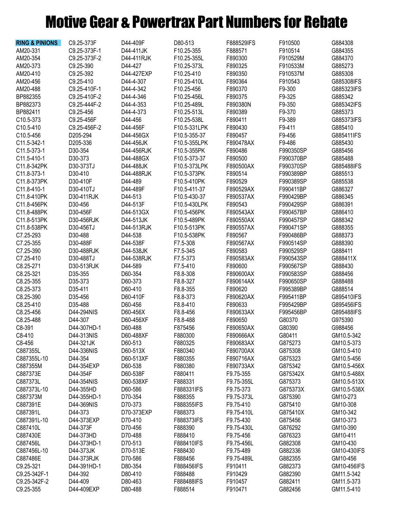# Motive Gear & Powertrax Part Numbers for Rebate

| <b>RING &amp; PINIONS</b> | C9.25-373F   | D44-409F   | D80-513      | F888529IFS           | F910500   | G884308     |
|---------------------------|--------------|------------|--------------|----------------------|-----------|-------------|
| AM20-331                  | C9.25-373F-1 | D44-411JK  | F10.25-355   | F888571              | F910514   | G884355     |
| AM20-354                  | C9.25-373F-2 | D44-411RJK | F10.25-355L  | F890300              | F910529M  | G884370     |
| AM20-373                  | C9.25-390    | D44-427    | F10.25-373L  | F890325              | F910533M  | G885273     |
| AM20-410                  | C9.25-392    | D44-427EXP | F10.25-410   | F890350              | F910537M  | G885308     |
|                           |              |            |              |                      | F910543   |             |
| AM20-456                  | C9.25-410    | D44-4-307  | F10.25-410L  | F890364              |           | G885308IFS  |
| AM20-488                  | C9.25-410F-1 | D44-4-342  | F10.25-456   | F890370              | F9-300    | G885323IFS  |
| BP882355                  | C9.25-410F-2 | D44-4-346  | F10.25-456L  | F890375              | F9-325    | G885342     |
| BP882373                  | C9.25-444F-2 | D44-4-353  | F10.25-489L  | F890380N             | F9-350    | G885342IFS  |
| BP882411                  | C9.25-456    | D44-4-373  | F10.25-513L  | F890389              | F9-370    | G885373     |
| C10.5-373                 | C9.25-456F   | D44-456    | F10.25-538L  | F890411              | F9-389    | G885373IFS  |
| C10.5-410                 | C9.25-456F-2 | D44-456F   | F10.5-331LPK | F890430              | F9-411    | G885410     |
| C10.5-456                 | D205-294     | D44-456GX  | F10.5-355-37 | F890457              | F9-456    | G885411IFS  |
| C11.5-342-1               | D205-336     | D44-456JK  | F10.5-355LPK | F890478AX            | F9-486    | G885430     |
| C11.5-373-1               | D30-354      | D44-456RJK | F10.5-355PK  | F890486              | F990350SP | G885456     |
| C11.5-410-1               | D30-373      | D44-488GX  | F10.5-373-37 | F890500              | F990370BP | G885488     |
| C11.8-342PK               | D30-373TJ    | D44-488JK  | F10.5-373LPK | F890500AX            | F990370SP | G885488IFS  |
| C11.8-373-1               | D30-410      | D44-488RJK | F10.5-373PK  | F890514              | F990389BP | G885513     |
| C11.8-373PK               | D30-410F     | D44-489    | F10.5-410PK  | F890529              | F990389SP | G885538     |
| C11.8-410-1               | D30-410TJ    | D44-489F   | F10.5-411-37 | F890529AX            | F990411BP | G886327     |
| C11.8-410PK               | D30-411RJK   | D44-513    | F10.5-430-37 | F890537AX            | F990429BP | G886345     |
| C11.8-456PK               | D30-456      | D44-513F   | F10.5-430LPK | F890543              | F990429SP | G886391     |
| C11.8-488PK               | D30-456F     | D44-513GX  | F10.5-456PK  | F890543AX            | F990457BP | G886410     |
| C11.8-513PK               | D30-456RJK   | D44-513JK  | F10.5-489PK  | F890550AX            | F990457SP | G888342     |
| C11.8-538PK               | D30-456TJ    | D44-513RJK | F10.5-513PK  | F890557AX            | F990471SP | G888355     |
| C7.25-293                 | D30-488      | D44-538    | F10.5-538PK  | F890567              | F990486BP | G888373     |
| C7.25-355                 | D30-488F     | D44-538F   | F7.5-308     | F890567AX            | F990514SP | G888390     |
| C7.25-390                 | D30-488RJK   | D44-538JK  | F7.5-345     | F890583              | F990529SP | G888411     |
| C7.25-410                 |              | D44-538RJK |              |                      |           | G888411X    |
|                           | D30-488TJ    |            | F7.5-373     | F890583AX<br>F890600 | F990543SP |             |
| C8.25-271                 | D30-513RJK   | D44-589    | F7.5-410     |                      | F990567SP | G888430     |
| C8.25-321                 | D35-355      | D60-354    | F8.8-308     | F890600AX            | F990583SP | G888456     |
| C8.25-355                 | D35-373      | D60-373    | F8.8-327     | F890614AX            | F990650SP | G888488     |
| C8.25-373                 | D35-411      | D60-410    | F8.8-355     | F890620              | F995389BP | G888514     |
| C8.25-390                 | D35-456      | D60-410F   | F8.8-373     | F890620AX            | F995411BP | G895410IFS  |
| C8.25-410                 | D35-488      | D60-456    | F8.8-410     | F890633              | F995429BP | G895456IFS  |
| C8.25-456                 | D44-294NIS   | D60-456X   | F8.8-456     | F890633AX            | F995456BP | G895488IFS  |
| C8.25-488                 | D44-307      | D60-456XF  | F8.8-488     | F890650              | G80370    | G975390     |
| C8-391                    | D44-307HD-1  | D60-488    | F875456      | F890650AX            | G80390    | G988456     |
| C8-410                    | D44-313NIS   | D60-488XF  | F880300      | F890666AX            | G80411    | GM10.5-342  |
| C8-456                    | D44-321JK    | D60-513    | F880325      | F890683AX            | G875273   | GM10.5-373  |
| C887355L                  | D44-336NIS   | D60-513X   | F880340      | F890700AX            | G875308   | GM10.5-410  |
| C887355L-10               | D44-354      | D60-513XF  | F880355      | F890716AX            | G875323   | GM10.5-456  |
| C887355M                  | D44-354EXP   | D60-538    | F880380      | F890733AX            | G875342   | GM10.5-456X |
| C887373E                  | D44-354F     | D60-538F   | F880411      | F9.75-355            | G875342X  | GM10.5-488X |
| C887373L                  | D44-354NIS   | D60-538XF  | F888331      | F9.75-355L           | G875373   | GM10.5-513X |
| C887373L-10               | D44-355HD    | D60-586    | F888331IFS   | F9.75-373            | G875373X  | GM10.5-538X |
| C887373M                  | D44-355HD-1  | D70-354    | F888355      | F9.75-373L           | G875390   | GM10-273    |
| C887391E                  | D44-369NIS   | D70-373    | F888355IFS   | F9.75-410            | G875410   | GM10-308    |
| C887391L                  | D44-373      | D70-373EXP | F888373      | F9.75-410L           | G875410X  | GM10-342    |
| C887391L-10               | D44-373EXP   | D70-410    | F888373IFS   | F9.75-430            | G875456   | GM10-373    |
| C887410L                  | D44-373F     | D70-456    | F888390      | F9.75-430L           | G876292   | GM10-390    |
| C887430E                  | D44-373HD    | D70-488    | F888410      | F9.75-456            | G876323   | GM10-411    |
| C887456L                  | D44-373HD-1  | D70-513    | F888410IFS   | F9.75-456L           | G882308   | GM10-430    |
| C887456L-10               | D44-373JK    | D70-513E   | F888430      | F9.75-489            | G882336   | GM10-430IFS |
| C887486E                  | D44-373RJK   | D70-586    | F888456      | F9.75-489L           | G882355   | GM10-456    |
| C9.25-321                 | D44-391HD-1  | D80-354    | F888456IFS   | F910411              | G882373   | GM10-456IFS |
| C9.25-342F-1              | D44-392      | D80-410    | F888488      | F910429              | G882390   | GM11.5-342  |
|                           |              |            |              |                      |           |             |
| C9.25-342F-2              | D44-409      | D80-463    | F888488IFS   | F910457              | G882411   | GM11.5-373  |
| C9.25-355                 | D44-409EXP   | D80-488    | F888514      | F910471              | G882456   | GM11.5-410  |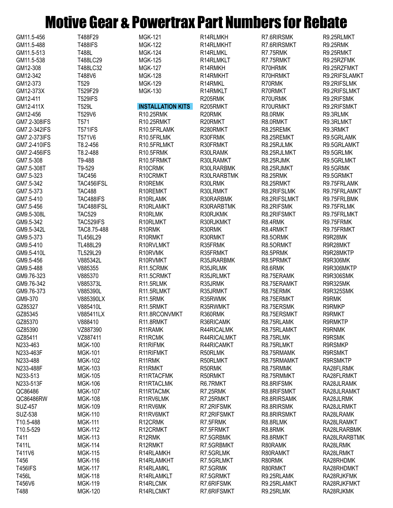## Motive Gear & Powertrax Part Numbers for Rebate

| GM11.5-456     | T488F29        | <b>MGK-121</b>           | R14RLMKH    | R7.6RIRSMK      | R9.25RLMKT       |
|----------------|----------------|--------------------------|-------------|-----------------|------------------|
| GM11.5-488     | <b>T488IFS</b> | <b>MGK-122</b>           | R14RLMKHT   | R7.6RIRSMKT     | <b>R9.25RMK</b>  |
| GM11.5-513     | T488L          | <b>MGK-124</b>           | R14RLMKL    | R7.75RMK        | R9.25RMKT        |
| GM11.5-538     | T488LC29       | <b>MGK-125</b>           | R14RLMKLT   | R7.75RMKT       | R9.25RZFMK       |
| GM12-308       | T488LC32       | <b>MGK-127</b>           | R14RMKH     | R70HRMK         | R9.25RZFMKT      |
| GM12-342       | T488V6         | <b>MGK-128</b>           | R14RMKHT    | R70HRMKT        | R9.2RIFSLAMKT    |
| GM12-373       | T529           | <b>MGK-129</b>           | R14RMKL     | R70RMK          | R9.2RIFSLMK      |
| GM12-373X      | T529F29        | <b>MGK-130</b>           | R14RMKLT    | R70RMKT         | R9.2RIFSLMKT     |
|                |                |                          |             |                 | R9.2RIFSMK       |
| GM12-411       | <b>T529IFS</b> |                          | R205RMK     | R70URMK         |                  |
| GM12-411X      | T529L          | <b>INSTALLATION KITS</b> | R205RMKT    | R70URMKT        | R9.2RIFSMKT      |
| GM12-456       | T529V6         | R10.25RMK                | R20RMK      | R8.0RMK         | R9.3RLMK         |
| GM7.2-308IFS   | T571           | R10.25RMKT               | R20RMKT     | R8.0RMKT        | R9.3RLMKT        |
| GM7.2-342IFS   | <b>T571IFS</b> | R10.5FRLAMK              | R280RMKT    | R8.25REMK       | R9.3RMKT         |
| GM7.2-373IFS   | T571V6         | R10.5FRLMK               | R30FRMK     | R8.25REMKT      | R9.5GRLAMK       |
| GM7.2-410IFS   | T8.2-456       | R10.5FRLMKT              | R30FRMKT    | R8.25RJLMK      | R9.5GRLAMKT      |
| GM7.2-456IFS   | T8.2-488       | R10.5FRMK                | R30LRAMK    | R8.25RJLMKT     | R9.5GRLMK        |
| GM7.5-308      | T9-488         | R10.5FRMKT               | R30LRAMKT   | R8.25RJMK       | R9.5GRLMKT       |
| GM7.5-308T     | T9-529         | R10CRMK                  | R30LRARBMK  | R8.25RJMKT      | R9.5GRMK         |
| GM7.5-323      | <b>TAC456</b>  | R10CRMKT                 | R30LRARBTMK | <b>R8.25RMK</b> | R9.5GRMKT        |
| GM7.5-342      | TAC456IFSL     | R10REMK                  | R30LRMK     | R8.25RMKT       | R9.75FRLAMK      |
| GM7.5-373      | <b>TAC488</b>  | R10REMKT                 | R30LRMKT    | R8.2RIFSLMK     | R9.75FRLAMKT     |
|                |                |                          |             |                 |                  |
| GM7.5-410      | TAC488IFS      | R10RLAMK                 | R30RARBMK   | R8.2RIFSLMKT    | R9.75FRLBMK      |
| GM7.5-456      | TAC488IFSL     | R10RLAMKT                | R30RARBTMK  | R8.2RIFSMK      | R9.75FRLMK       |
| GM9.5-308L     | <b>TAC529</b>  | R10RLMK                  | R30RJKMK    | R8.2RIFSMKT     | R9.75FRLMKT      |
| GM9.5-342      | TAC529IFS      | R10RLMKT                 | R30RJKMKT   | R8.4RMK         | R9.75FRMK        |
| GM9.5-342L     | TAC8.75-488    | R10RMK                   | R30RMK      | R8.4RMKT        | R9.75FRMKT       |
| GM9.5-373      | TL456L29       | R10RMKT                  | R30RMKT     | R8.50RMK        | R9R28MK          |
| GM9.5-410      | TL488L29       | R10RVLMKT                | R35FRMK     | R8.50RMKT       | R9R28MKT         |
| GM9.5-410L     | TL529L29       | R10RVMK                  | R35FRMKT    | R8.5PRMK        | R9R28MKTP        |
| GM9.5-456      | V885342L       | R10RVMKT                 | R35JRARBMK  | R8.5PRMKT       | R9R306MK         |
| GM9.5-488      | V885355        | R11.5CRMK                | R35JRLMK    | R8.6RMK         | R9R306MKTP       |
| GM9.76-323     | V885370        | R11.5CRMKT               | R35JRLMKT   | R8.75ERAMK      | <b>R9R306SMK</b> |
| GM9.76-342     | V885373L       | R11.5RLMK                | R35JRMK     | R8.75ERAMKT     | <b>R9R325MK</b>  |
| GM9.76-373     | V885390L       | R11.5RLMKT               | R35JRMKT    | R8.75ERMK       | R9R325SMK        |
| GM9-370        | V885390LX      | R11.5RMK                 | R35RWMK     | R8.75ERMKT      | R9RMK            |
| GZ85327        | V885410L       | R11.5RMKT                | R35RWMKT    |                 | R9RMKP           |
|                |                |                          |             | R8.75ERSMK      |                  |
| GZ85345        | V885411LX      | R11.8RCONVMKT            | R360RMK     | R8.75ERSMKT     | R9RMKT           |
| GZ85370        | V888410        | R11.8RMKT                | R36RICAMK   | R8.75RLAMK      | <b>R9RMKTP</b>   |
| GZ85390        | VZ887390       | R11RAMK                  | R44RICALMK  | R8.75RLAMKT     | R9RNMK           |
| GZ85411        | VZ887411       | R11RCMK                  | R44RICALMKT | R8.75RLMK       | <b>R9RSMK</b>    |
| N233-463       | <b>MGK-100</b> | R11RIFMK                 | R44RICAMKT  | R8.75RLMKT      | <b>R9RSMKP</b>   |
| N233-463F      | <b>MGK-101</b> | R11RIFMKT                | R50RLMK     | R8.75RMAMK      | <b>R9RSMKT</b>   |
| N233-488       | <b>MGK-102</b> | R <sub>11</sub> RMK      | R50RLMKT    | R8.75RMAMKT     | <b>R9RSMKTP</b>  |
| N233-488F      | <b>MGK-103</b> | R11RMKT                  | R50RMK      | R8.75RMMK       | RA28FLRMK        |
| N233-513       | <b>MGK-105</b> | R11RTACFMK               | R50RMKT     | R8.75RMMKT      | RA28FLRMKT       |
| N233-513F      | <b>MGK-106</b> | R11RTACLMK               | R6.7RMKT    | R8.8RIFSMK      | RA28JLRAMK       |
| QC86486        | <b>MGK-107</b> | R11RTACMK                | R7.25RMK    | R8.8RIFSMKT     | RA28JLRAMKT      |
| QC86486RW      | <b>MGK-108</b> | R11RV6LMK                | R7.25RMKT   | R8.8RIRSAMK     | RA28JLRMK        |
| SUZ-457        | <b>MGK-109</b> | R11RV6MK                 | R7.2RIFSMK  | R8.8RIRSMK      | RA28JLRMKT       |
| SUZ-538        | <b>MGK-110</b> | R11RV6MKT                | R7.2RIFSMKT | R8.8RIRSMKT     | RA28LRAMK        |
|                |                |                          |             |                 |                  |
| T10.5-488      | <b>MGK-111</b> | R12CRMK                  | R7.5FRMK    | R8.8RLMK        | RA28LRAMKT       |
| T10.5-529      | <b>MGK-112</b> | R12CRMKT                 | R7.5FRMKT   | R8.8RMK         | RA28LRARBMK      |
| T411           | <b>MGK-113</b> | R12RMK                   | R7.5GRBMK   | R8.8RMKT        | RA28LRARBTMK     |
| T411L          | <b>MGK-114</b> | R12RMKT                  | R7.5GRBMKT  | R80RAMK         | RA28LRMK         |
| T411V6         | <b>MGK-115</b> | R14RLAMKH                | R7.5GRLMK   | R80RAMKT        | RA28LRMKT        |
| T456           | <b>MGK-116</b> | R14RLAMKHT               | R7.5GRLMKT  | R80RMK          | RA28RHDMK        |
| <b>T456IFS</b> | <b>MGK-117</b> | R14RLAMKL                | R7.5GRMK    | R80RMKT         | RA28RHDMKT       |
| T456L          | <b>MGK-118</b> | R14RLAMKLT               | R7.5GRMKT   | R9.25RLAMK      | RA28RJKFMK       |
| T456V6         | <b>MGK-119</b> | R14RLCMK                 | R7.6RIFSMK  | R9.25RLAMKT     | RA28RJKFMKT      |
| T488           | <b>MGK-120</b> | R14RLCMKT                | R7.6RIFSMKT | R9.25RLMK       | RA28RJKMK        |